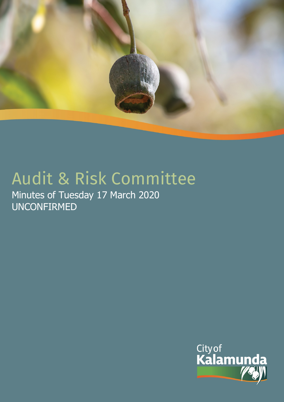

# Audit & Risk Committee

Minutes of Tuesday 17 March 2020 UNCONFIRMED

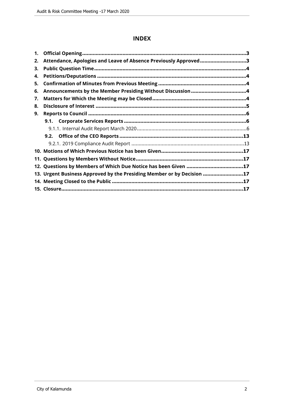## **INDEX**

| 1. |                                                                        |  |
|----|------------------------------------------------------------------------|--|
| 2. | Attendance, Apologies and Leave of Absence Previously Approved3        |  |
| 3. |                                                                        |  |
| 4. |                                                                        |  |
| 5. |                                                                        |  |
| 6. |                                                                        |  |
| 7. |                                                                        |  |
| 8. |                                                                        |  |
| 9. |                                                                        |  |
|    |                                                                        |  |
|    |                                                                        |  |
|    |                                                                        |  |
|    |                                                                        |  |
|    |                                                                        |  |
|    |                                                                        |  |
|    | 12. Questions by Members of Which Due Notice has been Given 17         |  |
|    | 13. Urgent Business Approved by the Presiding Member or by Decision 17 |  |
|    |                                                                        |  |
|    |                                                                        |  |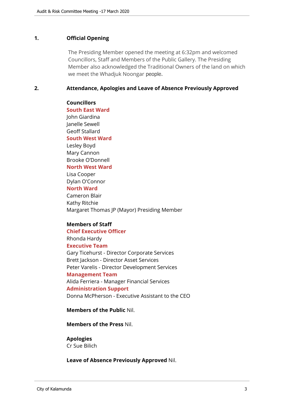#### <span id="page-2-0"></span>**1. Official Opening**

The Presiding Member opened the meeting at 6:32pm and welcomed Councillors, Staff and Members of the Public Gallery. The Presiding Member also acknowledged the Traditional Owners of the land on which we meet the Whadjuk Noongar people.

#### <span id="page-2-1"></span>**2. Attendance, Apologies and Leave of Absence Previously Approved**

#### **Councillors**

**South East Ward**  John Giardina Janelle Sewell Geoff Stallard **South West Ward** Lesley Boyd Mary Cannon Brooke O'Donnell **North West Ward** Lisa Cooper Dylan O'Connor **North Ward** Cameron Blair Kathy Ritchie Margaret Thomas JP (Mayor) Presiding Member

## **Members of Staff**

**Chief Executive Officer** Rhonda Hardy **Executive Team** Gary Ticehurst - Director Corporate Services Brett Jackson - Director Asset Services Peter Varelis - Director Development Services **Management Team** Alida Ferriera - Manager Financial Services **Administration Support** Donna McPherson - Executive Assistant to the CEO

**Members of the Public** Nil.

**Members of the Press** Nil.

## **Apologies**

Cr Sue Bilich

**Leave of Absence Previously Approved** Nil.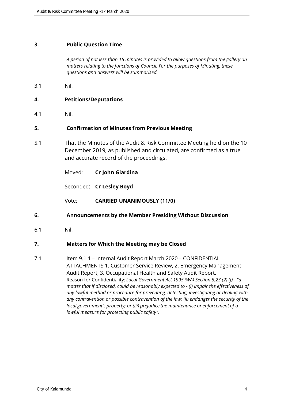## <span id="page-3-0"></span>**3. Public Question Time**

*A period of not less than 15 minutes is provided to allow questions from the gallery on matters relating to the functions of Council. For the purposes of Minuting, these questions and answers will be summarised.*

3.1 Nil.

## <span id="page-3-1"></span>**4. Petitions/Deputations**

4.1 Nil.

## <span id="page-3-2"></span>**5. Confirmation of Minutes from Previous Meeting**

5.1 That the Minutes of the Audit & Risk Committee Meeting held on the 10 December 2019, as published and circulated, are confirmed as a true and accurate record of the proceedings.

| Moved: | Cr John Giardina |
|--------|------------------|
|--------|------------------|

Seconded: **Cr Lesley Boyd**

- Vote: **CARRIED UNANIMOUSLY (11/0)**
- <span id="page-3-3"></span>**6. Announcements by the Member Presiding Without Discussion**
- 6.1 Nil.

#### <span id="page-3-4"></span>**7. Matters for Which the Meeting may be Closed**

7.1 Item 9.1.1 – Internal Audit Report March 2020 – CONFIDENTIAL ATTACHMENTS 1. Customer Service Review, 2. Emergency Management Audit Report, 3. Occupational Health and Safety Audit Report. Reason for Confidentiality: *Local Government Act 1995 (WA) Section 5.23 (2) (f) - "a matter that if disclosed, could be reasonably expected to - (i) impair the effectiveness of any lawful method or procedure for preventing, detecting, investigating or dealing with any contravention or possible contravention of the law; (ii) endanger the security of the local government's property; or (iii) prejudice the maintenance or enforcement of a lawful measure for protecting public safety"*.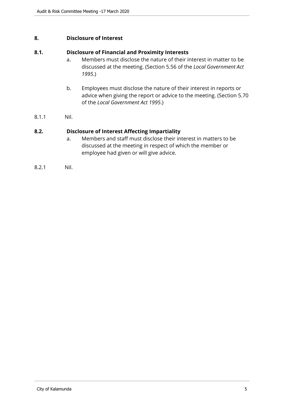## <span id="page-4-0"></span>**8. Disclosure of Interest**

## **8.1. Disclosure of Financial and Proximity Interests**

- a. Members must disclose the nature of their interest in matter to be discussed at the meeting. (Section 5.56 of the *Local Government Act 1995*.)
- b. Employees must disclose the nature of their interest in reports or advice when giving the report or advice to the meeting. (Section 5.70 of the *Local Government Act 1995*.)
- 8.1.1 Nil.

## **8.2. Disclosure of Interest Affecting Impartiality**

- a. Members and staff must disclose their interest in matters to be discussed at the meeting in respect of which the member or employee had given or will give advice.
- 8.2.1 Nil.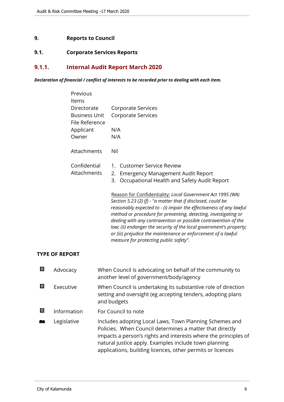# <span id="page-5-0"></span>**9. Reports to Council**

# <span id="page-5-1"></span>**9.1. Corporate Services Reports**

# <span id="page-5-2"></span>**9.1.1. Internal Audit Report March 2020**

*Declaration of financial / conflict of interests to be recorded prior to dealing with each item.*

| Previous<br>Items                   |                                                                                                                                                                                                                                                                                                                                                                                                                                                                                                                           |
|-------------------------------------|---------------------------------------------------------------------------------------------------------------------------------------------------------------------------------------------------------------------------------------------------------------------------------------------------------------------------------------------------------------------------------------------------------------------------------------------------------------------------------------------------------------------------|
| Directorate<br><b>Business Unit</b> | Corporate Services<br><b>Corporate Services</b>                                                                                                                                                                                                                                                                                                                                                                                                                                                                           |
| File Reference                      |                                                                                                                                                                                                                                                                                                                                                                                                                                                                                                                           |
| Applicant                           | N/A                                                                                                                                                                                                                                                                                                                                                                                                                                                                                                                       |
| Owner                               | N/A                                                                                                                                                                                                                                                                                                                                                                                                                                                                                                                       |
| Attachments                         | Nil                                                                                                                                                                                                                                                                                                                                                                                                                                                                                                                       |
| Confidential                        | <b>Customer Service Review</b><br>1.                                                                                                                                                                                                                                                                                                                                                                                                                                                                                      |
| Attachments                         | <b>Emergency Management Audit Report</b><br>2.                                                                                                                                                                                                                                                                                                                                                                                                                                                                            |
|                                     | Occupational Health and Safety Audit Report<br>3.                                                                                                                                                                                                                                                                                                                                                                                                                                                                         |
|                                     | Reason for Confidentiality: Local Government Act 1995 (WA)<br>Section 5.23 (2) (f) - "a matter that if disclosed, could be<br>reasonably expected to - (i) impair the effectiveness of any lawful<br>method or procedure for preventing, detecting, investigating or<br>dealing with any contravention or possible contravention of the<br>law; (ii) endanger the security of the local government's property;<br>or (iii) prejudice the maintenance or enforcement of a lawful<br>measure for protecting public safety". |

## **TYPE OF REPORT**

| 囨 | Advocacy    | When Council is advocating on behalf of the community to<br>another level of government/body/agency                                                                                                                                                                                                           |
|---|-------------|---------------------------------------------------------------------------------------------------------------------------------------------------------------------------------------------------------------------------------------------------------------------------------------------------------------|
| 囨 | Executive   | When Council is undertaking its substantive role of direction<br>setting and oversight (eg accepting tenders, adopting plans<br>and budgets                                                                                                                                                                   |
| 囨 | Information | For Council to note                                                                                                                                                                                                                                                                                           |
|   | Legislative | Includes adopting Local Laws, Town Planning Schemes and<br>Policies. When Council determines a matter that directly<br>impacts a person's rights and interests where the principles of<br>natural justice apply. Examples include town planning<br>applications, building licences, other permits or licences |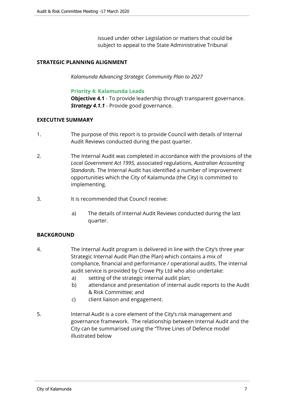issued under other Legislation or matters that could be subject to appeal to the State Administrative Tribunal

## **STRATEGIC PLANNING ALIGNMENT**

*Kalamunda Advancing Strategic Community Plan to 2027*

#### **Priority 4: Kalamunda Leads**

**Objective 4.1** - To provide leadership through transparent governance. *Strategy 4.1.1* - Provide good governance.

## **EXECUTIVE SUMMARY**

- 1. The purpose of this report is to provide Council with details of Internal Audit Reviews conducted during the past quarter.
- 2. The Internal Audit was completed in accordance with the provisions of the *Local Government Act 1995,* associated regulations, *Australian Accounting Standards.* The Internal Audit has identified a number of improvement opportunities which the City of Kalamunda (the City) is committed to implementing.
- 3. It is recommended that Council receive:
	- a) The details of Internal Audit Reviews conducted during the last quarter.

## **BACKGROUND**

- 4. The Internal Audit program is delivered in line with the City's three year Strategic Internal Audit Plan (the Plan) which contains a mix of compliance, financial and performance / operational audits. The internal audit service is provided by Crowe Pty Ltd who also undertake:
	- a) setting of the strategic internal audit plan;
	- b) attendance and presentation of internal audit reports to the Audit & Risk Committee; and
	- c) client liaison and engagement.
- 5. Internal Audit is a core element of the City's risk management and governance framework. The relationship between Internal Audit and the City can be summarised using the "Three Lines of Defence model illustrated below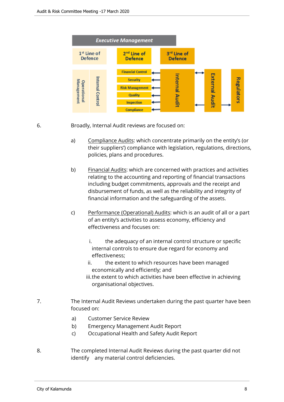

6. Broadly, Internal Audit reviews are focused on:

- a) Compliance Audits: which concentrate primarily on the entity's (or their suppliers') compliance with legislation, regulations, directions, policies, plans and procedures.
- b) Financial Audits: which are concerned with practices and activities relating to the accounting and reporting of financial transactions including budget commitments, approvals and the receipt and disbursement of funds, as well as the reliability and integrity of financial information and the safeguarding of the assets.
- c) Performance (Operational) Audits: which is an audit of all or a part of an entity's activities to assess economy, efficiency and effectiveness and focuses on:
	- i. the adequacy of an internal control structure or specific internal controls to ensure due regard for economy and effectiveness;
	- ii. the extent to which resources have been managed economically and efficiently; and
	- iii.the extent to which activities have been effective in achieving organisational objectives.
- 7. The Internal Audit Reviews undertaken during the past quarter have been focused on:
	- a) Customer Service Review
	- b) Emergency Management Audit Report
	- c) Occupational Health and Safety Audit Report
- 8. The completed Internal Audit Reviews during the past quarter did not identify any material control deficiencies.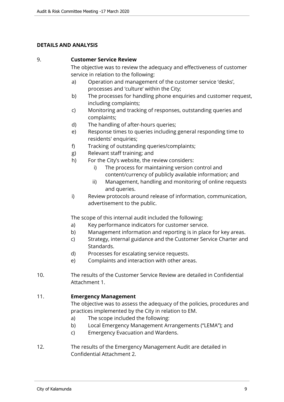## **DETAILS AND ANALYSIS**

## 9. **Customer Service Review**

The objective was to review the adequacy and effectiveness of customer service in relation to the following:

- a) Operation and management of the customer service 'desks', processes and 'culture' within the City;
- b) The processes for handling phone enquiries and customer request, including complaints;
- c) Monitoring and tracking of responses, outstanding queries and complaints;
- d) The handling of after-hours queries;
- e) Response times to queries including general responding time to residents' enquiries;
- f) Tracking of outstanding queries/complaints;
- g) Relevant staff training; and
- h) For the City's website, the review considers:
	- i) The process for maintaining version control and content/currency of publicly available information; and
	- ii) Management, handling and monitoring of online requests and queries.
- i) Review protocols around release of information, communication, advertisement to the public.

The scope of this internal audit included the following:

- a) Key performance indicators for customer service.
- b) Management information and reporting is in place for key areas.
- c) Strategy, internal guidance and the Customer Service Charter and Standards.
- d) Processes for escalating service requests.
- e) Complaints and interaction with other areas.
- 10. The results of the Customer Service Review are detailed in Confidential Attachment 1.

## 11. **Emergency Management**

The objective was to assess the adequacy of the policies, procedures and practices implemented by the City in relation to EM.

- a) The scope included the following:
- b) Local Emergency Management Arrangements ("LEMA"); and
- c) Emergency Evacuation and Wardens.
- 12. The results of the Emergency Management Audit are detailed in Confidential Attachment 2.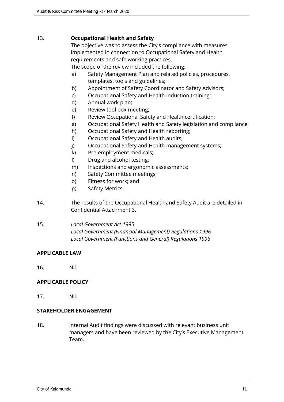## 13. **Occupational Health and Safety**

The objective was to assess the City's compliance with measures implemented in connection to Occupational Safety and Health requirements and safe working practices.

The scope of the review included the following:

- a) Safety Management Plan and related policies, procedures, templates, tools and guidelines;
- b) Appointment of Safety Coordinator and Safety Advisors;
- c) Occupational Safety and Health induction training;
- d) Annual work plan;
- e) Review tool box meeting;
- f) Review Occupational Safety and Health certification;
- g) Occupational Safety Health and Safety legislation and compliance;
- h) Occupational Safety and Health reporting;
- i) Occupational Safety and Health audits;
- j) Occupational Safety and Health management systems;
- k) Pre-employment medicals;
- l) Drug and alcohol testing;
- m) Inspections and ergonomic assessments;
- n) Safety Committee meetings;
- o) Fitness for work; and
- p) Safety Metrics.
- 14. The results of the Occupational Health and Safety Audit are detailed in Confidential Attachment 3.
- 15. *Local Government Act 1995 Local Government (Financial Management) Regulations 1996 Local Government (Functions and General) Regulations 1996*

#### **APPLICABLE LAW**

16. Nil.

#### **APPLICABLE POLICY**

17. Nil.

## **STAKEHOLDER ENGAGEMENT**

18. Internal Audit findings were discussed with relevant business unit managers and have been reviewed by the City's Executive Management Team.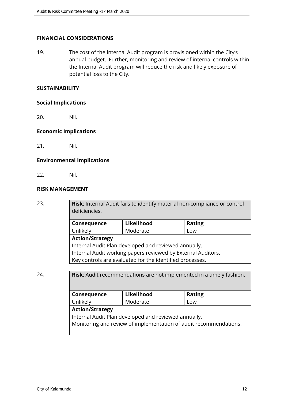## **FINANCIAL CONSIDERATIONS**

19. The cost of the Internal Audit program is provisioned within the City's annual budget. Further, monitoring and review of internal controls within the Internal Audit program will reduce the risk and likely exposure of potential loss to the City.

#### **SUSTAINABILITY**

#### **Social Implications**

20. Nil.

## **Economic Implications**

21. Nil.

## **Environmental Implications**

22. Nil.

## **RISK MANAGEMENT**

23. **Risk**: Internal Audit fails to identify material non-compliance or control deficiencies.

| Consequence                                                  | Likelihood | <b>Rating</b> |  |
|--------------------------------------------------------------|------------|---------------|--|
| Unlikely                                                     | Moderate   | Low           |  |
| <b>Action/Strategy</b>                                       |            |               |  |
| Internal Audit Plan developed and reviewed annually.         |            |               |  |
| Internal Audit working papers reviewed by External Auditors. |            |               |  |
| Key controls are evaluated for the identified processes.     |            |               |  |

## 24. **Risk**: Audit recommendations are not implemented in a timely fashion.

| Consequence                                                       | Likelihood | <b>Rating</b> |  |
|-------------------------------------------------------------------|------------|---------------|--|
| Unlikely                                                          | Moderate   | Low           |  |
| <b>Action/Strategy</b>                                            |            |               |  |
| Internal Audit Plan developed and reviewed annually.              |            |               |  |
| Monitoring and review of implementation of audit recommendations. |            |               |  |
|                                                                   |            |               |  |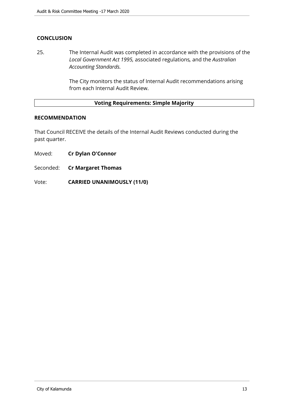# **CONCLUSION**

25. The Internal Audit was completed in accordance with the provisions of the *Local Government Act 1995,* associated regulations*,* and the *Australian Accounting Standards.*

> The City monitors the status of Internal Audit recommendations arising from each Internal Audit Review.

# **Voting Requirements: Simple Majority**

## **RECOMMENDATION**

That Council RECEIVE the details of the Internal Audit Reviews conducted during the past quarter.

- Moved: **Cr Dylan O'Connor**
- Seconded: **Cr Margaret Thomas**

Vote: **CARRIED UNANIMOUSLY (11/0)**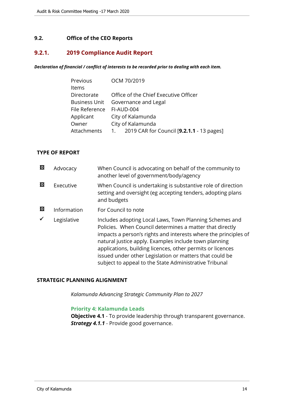## <span id="page-13-0"></span>**9.2. Office of the CEO Reports**

# <span id="page-13-1"></span>**9.2.1. 2019 Compliance Audit Report**

#### *Declaration of financial / conflict of interests to be recorded prior to dealing with each item.*

| Previous             | OCM 70/2019                                  |  |
|----------------------|----------------------------------------------|--|
| Items                |                                              |  |
| Directorate          | Office of the Chief Executive Officer        |  |
| <b>Business Unit</b> | Governance and Legal                         |  |
| File Reference       | FI-AUD-004                                   |  |
| Applicant            | City of Kalamunda                            |  |
| Owner                | City of Kalamunda                            |  |
| Attachments          | 1. 2019 CAR for Council [9.2.1.1 - 13 pages] |  |

## **TYPE OF REPORT**

| 囨 | Advocacy    | When Council is advocating on behalf of the community to<br>another level of government/body/agency                                                                                                                                                                                                                                                                                                                                |
|---|-------------|------------------------------------------------------------------------------------------------------------------------------------------------------------------------------------------------------------------------------------------------------------------------------------------------------------------------------------------------------------------------------------------------------------------------------------|
| 囨 | Executive   | When Council is undertaking is substantive role of direction<br>setting and oversight (eg accepting tenders, adopting plans<br>and budgets                                                                                                                                                                                                                                                                                         |
| 図 | Information | For Council to note                                                                                                                                                                                                                                                                                                                                                                                                                |
|   | Legislative | Includes adopting Local Laws, Town Planning Schemes and<br>Policies. When Council determines a matter that directly<br>impacts a person's rights and interests where the principles of<br>natural justice apply. Examples include town planning<br>applications, building licences, other permits or licences<br>issued under other Legislation or matters that could be<br>subject to appeal to the State Administrative Tribunal |

## **STRATEGIC PLANNING ALIGNMENT**

*Kalamunda Advancing Strategic Community Plan to 2027*

#### **Priority 4: Kalamunda Leads**

**Objective 4.1** - To provide leadership through transparent governance. *Strategy 4.1.1* - Provide good governance.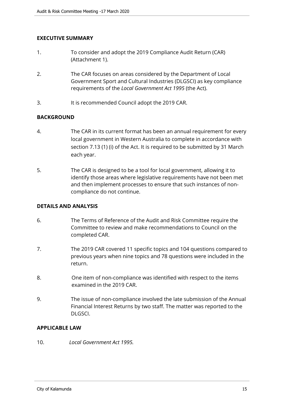## **EXECUTIVE SUMMARY**

- 1. To consider and adopt the 2019 Compliance Audit Return (CAR) (Attachment 1).
- 2. The CAR focuses on areas considered by the Department of Local Government Sport and Cultural Industries (DLGSCI) as key compliance requirements of the *Local Government Act 1995* (the Act).
- 3. It is recommended Council adopt the 2019 CAR.

## **BACKGROUND**

- 4. The CAR in its current format has been an annual requirement for every local government in Western Australia to complete in accordance with section 7.13 (1) (i) of the Act. It is required to be submitted by 31 March each year.
- 5. The CAR is designed to be a tool for local government, allowing it to identify those areas where legislative requirements have not been met and then implement processes to ensure that such instances of noncompliance do not continue.

## **DETAILS AND ANALYSIS**

- 6. The Terms of Reference of the Audit and Risk Committee require the Committee to review and make recommendations to Council on the completed CAR.
- 7. The 2019 CAR covered 11 specific topics and 104 questions compared to previous years when nine topics and 78 questions were included in the return.
- 8. One item of non-compliance was identified with respect to the items examined in the 2019 CAR.
- 9. The issue of non-compliance involved the late submission of the Annual Financial Interest Returns by two staff. The matter was reported to the DLGSCI.

# **APPLICABLE LAW**

10. *Local Government Act 1995.*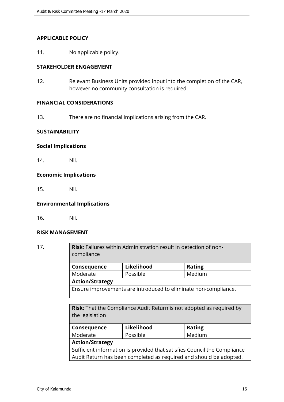## **APPLICABLE POLICY**

11. No applicable policy.

## **STAKEHOLDER ENGAGEMENT**

12. Relevant Business Units provided input into the completion of the CAR, however no community consultation is required.

## **FINANCIAL CONSIDERATIONS**

13. There are no financial implications arising from the CAR.

## **SUSTAINABILITY**

#### **Social Implications**

14. Nil.

## **Economic Implications**

15. Nil.

## **Environmental Implications**

16. Nil.

## **RISK MANAGEMENT**

17. **Risk**: Failures within Administration result in detection of noncompliance **Consequence Likelihood Rating** Moderate | Possible | Medium **Action/Strategy** Ensure improvements are introduced to eliminate non-compliance.

> **Risk**: That the Compliance Audit Return is not adopted as required by the legislation

| Consequence                                                              | Likelihood | <b>Rating</b> |  |
|--------------------------------------------------------------------------|------------|---------------|--|
| Moderate                                                                 | Possible   | Medium        |  |
| <b>Action/Strategy</b>                                                   |            |               |  |
| Sufficient information is provided that satisfies Council the Compliance |            |               |  |
| Audit Return has been completed as required and should be adopted.       |            |               |  |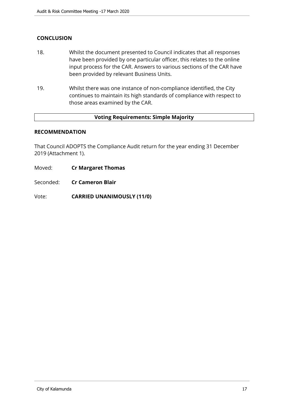# **CONCLUSION**

- 18. Whilst the document presented to Council indicates that all responses have been provided by one particular officer, this relates to the online input process for the CAR. Answers to various sections of the CAR have been provided by relevant Business Units.
- 19. Whilst there was one instance of non-compliance identified, the City continues to maintain its high standards of compliance with respect to those areas examined by the CAR.

#### **Voting Requirements: Simple Majority**

## **RECOMMENDATION**

That Council ADOPTS the Compliance Audit return for the year ending 31 December 2019 (Attachment 1).

- Moved: **Cr Margaret Thomas**
- Seconded: **Cr Cameron Blair**

Vote: **CARRIED UNANIMOUSLY (11/0)**